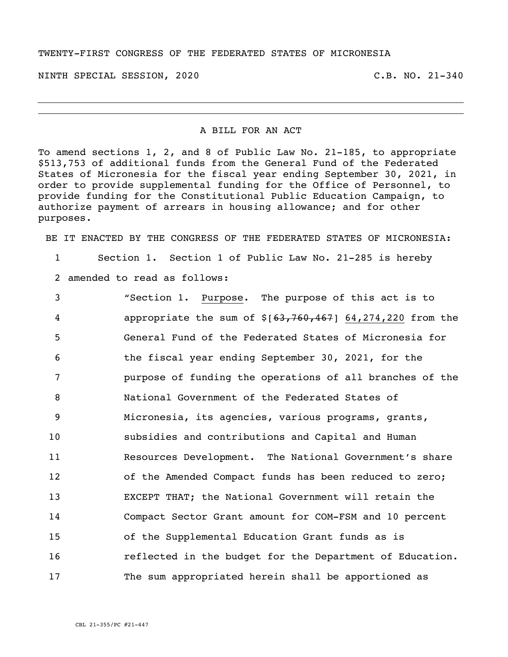## TWENTY-FIRST CONGRESS OF THE FEDERATED STATES OF MICRONESIA

NINTH SPECIAL SESSION, 2020 C.B. NO. 21-340

## A BILL FOR AN ACT

To amend sections 1, 2, and 8 of Public Law No. 21-185, to appropriate \$513,753 of additional funds from the General Fund of the Federated States of Micronesia for the fiscal year ending September 30, 2021, in order to provide supplemental funding for the Office of Personnel, to provide funding for the Constitutional Public Education Campaign, to authorize payment of arrears in housing allowance; and for other purposes.

BE IT ENACTED BY THE CONGRESS OF THE FEDERATED STATES OF MICRONESIA:

1 Section 1. Section 1 of Public Law No. 21-285 is hereby

2 amended to read as follows:

 "Section 1. Purpose. The purpose of this act is to appropriate the sum of \$[63,760,467] 64,274,220 from the General Fund of the Federated States of Micronesia for the fiscal year ending September 30, 2021, for the purpose of funding the operations of all branches of the National Government of the Federated States of Micronesia, its agencies, various programs, grants, subsidies and contributions and Capital and Human Resources Development. The National Government's share of the Amended Compact funds has been reduced to zero; EXCEPT THAT; the National Government will retain the Compact Sector Grant amount for COM-FSM and 10 percent of the Supplemental Education Grant funds as is reflected in the budget for the Department of Education. The sum appropriated herein shall be apportioned as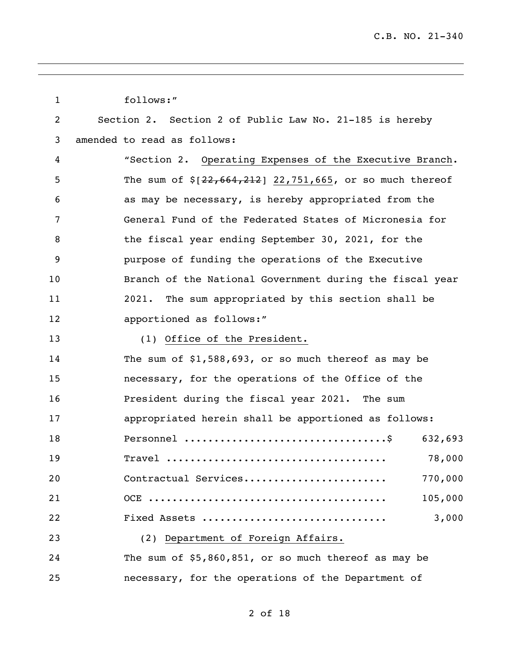| $\mathbf{1}$ | follows:"                                                 |
|--------------|-----------------------------------------------------------|
| 2            | Section 2. Section 2 of Public Law No. 21-185 is hereby   |
| 3            | amended to read as follows:                               |
| 4            | "Section 2. Operating Expenses of the Executive Branch.   |
| 5            | The sum of $$[22,664,212]$ 22,751,665, or so much thereof |
| 6            | as may be necessary, is hereby appropriated from the      |
| 7            | General Fund of the Federated States of Micronesia for    |
| 8            | the fiscal year ending September 30, 2021, for the        |
| 9            | purpose of funding the operations of the Executive        |
| 10           | Branch of the National Government during the fiscal year  |
| 11           | The sum appropriated by this section shall be<br>2021.    |
| 12           | apportioned as follows:"                                  |
| 13           | (1) Office of the President.                              |
| 14           | The sum of $$1,588,693$ , or so much thereof as may be    |
| 15           | necessary, for the operations of the Office of the        |
| 16           | President during the fiscal year 2021. The sum            |
| 17           | appropriated herein shall be apportioned as follows:      |
| 18           | 632,693                                                   |
| 19           | 78,000                                                    |
| 20           | Contractual Services<br>770,000                           |
| 21           | 105,000                                                   |
| 22           | 3,000<br>Fixed Assets                                     |
| 23           | (2) Department of Foreign Affairs.                        |
| 24           | The sum of \$5,860,851, or so much thereof as may be      |
| 25           | necessary, for the operations of the Department of        |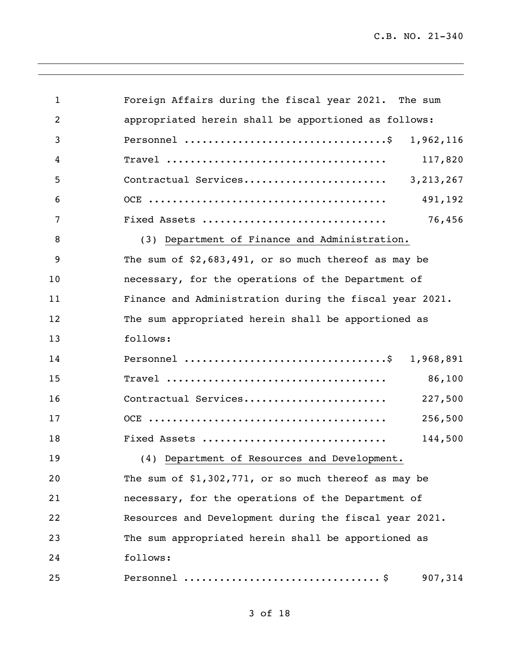| $\mathbf{1}$   | Foreign Affairs during the fiscal year 2021. The sum    |
|----------------|---------------------------------------------------------|
| $\overline{2}$ | appropriated herein shall be apportioned as follows:    |
| 3              | 1,962,116                                               |
| 4              | 117,820                                                 |
| 5              |                                                         |
| 6              | 491,192                                                 |
| 7              | 76,456<br>Fixed Assets                                  |
| 8              | (3) Department of Finance and Administration.           |
| 9              | The sum of $$2,683,491$ , or so much thereof as may be  |
| 10             | necessary, for the operations of the Department of      |
| 11             | Finance and Administration during the fiscal year 2021. |
| 12             | The sum appropriated herein shall be apportioned as     |
| 13             | follows:                                                |
| 14             | 1,968,891                                               |
| 15             | 86,100                                                  |
| 16             | Contractual Services<br>227,500                         |
| 17             | 256,500                                                 |
| 18             | Fixed Assets<br>144,500                                 |
| 19             | (4) Department of Resources and Development.            |
| 20             | The sum of $$1,302,771$ , or so much thereof as may be  |
| 21             | necessary, for the operations of the Department of      |
| 22             | Resources and Development during the fiscal year 2021.  |
| 23             | The sum appropriated herein shall be apportioned as     |
| 24             | follows:                                                |
| 25             | 907,314                                                 |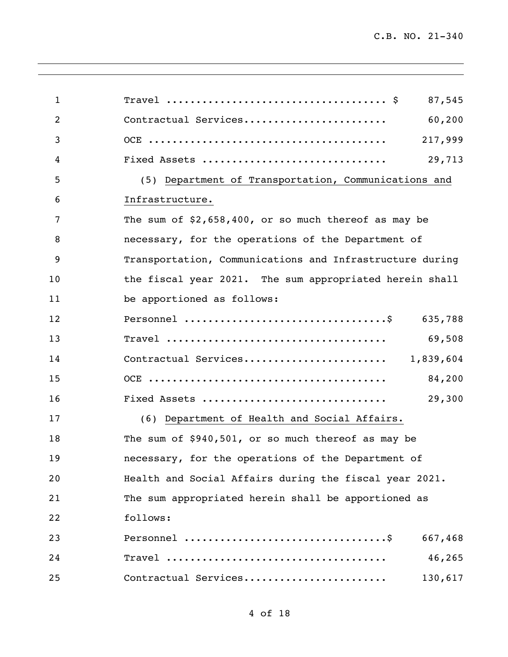| $\mathbf{1}$   | 87,545                                                   |
|----------------|----------------------------------------------------------|
| $\overline{2}$ | Contractual Services<br>60,200                           |
| 3              | 217,999                                                  |
| 4              | Fixed Assets<br>29,713                                   |
| 5              | (5) Department of Transportation, Communications and     |
| 6              | Infrastructure.                                          |
| 7              | The sum of $$2,658,400$ , or so much thereof as may be   |
| 8              | necessary, for the operations of the Department of       |
| 9              | Transportation, Communications and Infrastructure during |
| 10             | the fiscal year 2021. The sum appropriated herein shall  |
| 11             | be apportioned as follows:                               |
| 12             | 635,788                                                  |
| 13             | 69,508                                                   |
| 14             | Contractual Services 1,839,604                           |
| 15             | 84,200                                                   |
| 16             | Fixed Assets<br>29,300                                   |
| 17             | (6) Department of Health and Social Affairs.             |
| 18             | The sum of \$940,501, or so much thereof as may be       |
| 19             | necessary, for the operations of the Department of       |
| 20             | Health and Social Affairs during the fiscal year 2021.   |
| 21             | The sum appropriated herein shall be apportioned as      |
| 22             | follows:                                                 |
| 23             | 667,468                                                  |
| 24             | 46,265                                                   |
| 25             | Contractual Services<br>130,617                          |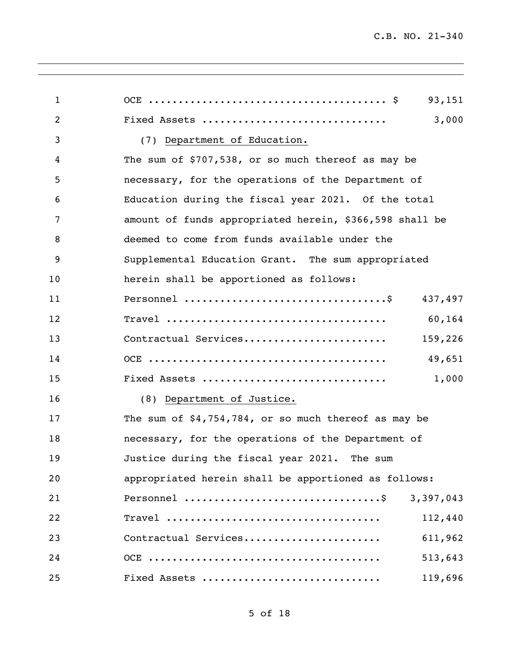| $\mathbf{1}$   | 93,151                                                  |
|----------------|---------------------------------------------------------|
| $\overline{2}$ | 3,000<br>Fixed Assets                                   |
| 3              | (7) Department of Education.                            |
| 4              | The sum of \$707,538, or so much thereof as may be      |
| 5              | necessary, for the operations of the Department of      |
| 6              | Education during the fiscal year 2021. Of the total     |
| 7              | amount of funds appropriated herein, \$366,598 shall be |
| 8              | deemed to come from funds available under the           |
| 9              | Supplemental Education Grant. The sum appropriated      |
| 10             | herein shall be apportioned as follows:                 |
| 11             | 437,497                                                 |
| 12             | 60,164                                                  |
| 13             | Contractual Services<br>159,226                         |
| 14             | 49,651                                                  |
| 15             | Fixed Assets<br>1,000                                   |
| 16             | (8) Department of Justice.                              |
| 17             | The sum of $$4,754,784$ , or so much thereof as may be  |
| 18             | necessary, for the operations of the Department of      |
| 19             | Justice during the fiscal year 2021. The sum            |
| 20             | appropriated herein shall be apportioned as follows:    |
| 21             | 3,397,043                                               |
| 22             | 112,440                                                 |
| 23             | Contractual Services<br>611,962                         |
| 24             | 513,643                                                 |
| 25             | Fixed Assets<br>119,696                                 |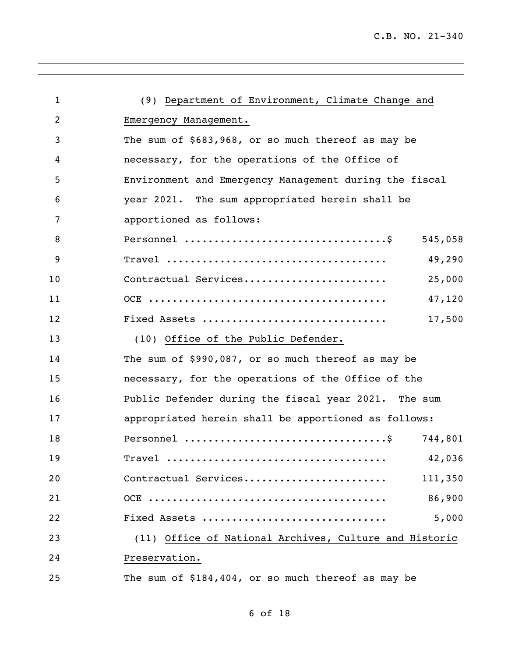| $\mathbf{1}$   | (9) Department of Environment, Climate Change and                              |  |
|----------------|--------------------------------------------------------------------------------|--|
| $\overline{2}$ | Emergency Management.                                                          |  |
| 3              | The sum of \$683,968, or so much thereof as may be                             |  |
| 4              | necessary, for the operations of the Office of                                 |  |
| 5              | Environment and Emergency Management during the fiscal                         |  |
| 6              | year 2021. The sum appropriated herein shall be                                |  |
| 7              | apportioned as follows:                                                        |  |
| 8              | Personnel $\dots\dots\dots\dots\dots\dots\dots\dots\dots\dots\dots$<br>545,058 |  |
| 9              | 49,290                                                                         |  |
| 10             | Contractual Services<br>25,000                                                 |  |
| 11             | 47,120                                                                         |  |
| 12             | Fixed Assets<br>17,500                                                         |  |
| 13             | (10) Office of the Public Defender.                                            |  |
| 14             | The sum of \$990,087, or so much thereof as may be                             |  |
| 15             | necessary, for the operations of the Office of the                             |  |
| 16             | Public Defender during the fiscal year 2021. The sum                           |  |
| 17             | appropriated herein shall be apportioned as follows:                           |  |
| 18             | 744,801                                                                        |  |
| 19             | 42,036                                                                         |  |
| 20             | Contractual Services<br>111,350                                                |  |
| 21             | 86,900                                                                         |  |
| 22             | 5,000<br>Fixed Assets                                                          |  |
| 23             | (11) Office of National Archives, Culture and Historic                         |  |
| 24             | Preservation.                                                                  |  |
| 25             | The sum of \$184,404, or so much thereof as may be                             |  |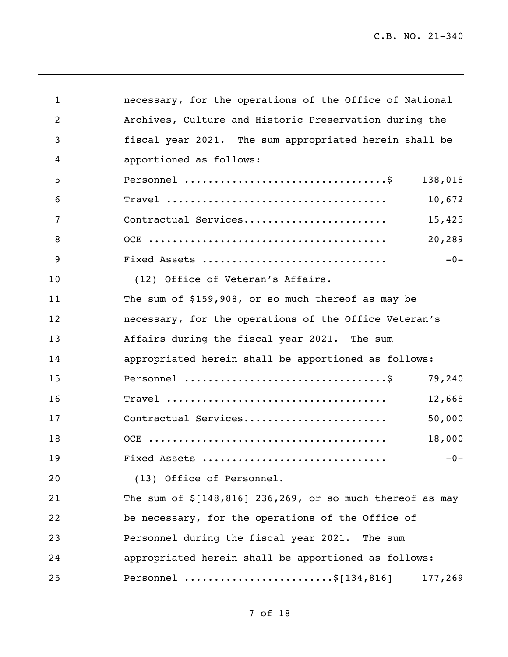| $\mathbf{1}$   | necessary, for the operations of the Office of National                        |
|----------------|--------------------------------------------------------------------------------|
| $\overline{2}$ | Archives, Culture and Historic Preservation during the                         |
| 3              | fiscal year 2021. The sum appropriated herein shall be                         |
| 4              | apportioned as follows:                                                        |
| 5              | Personnel $\dots\dots\dots\dots\dots\dots\dots\dots\dots\dots\dots$<br>138,018 |
| 6              | 10,672                                                                         |
| 7              | Contractual Services<br>15,425                                                 |
| 8              | 20,289                                                                         |
| 9              | $-0-$<br>Fixed Assets                                                          |
| 10             | (12) Office of Veteran's Affairs.                                              |
| 11             | The sum of \$159,908, or so much thereof as may be                             |
| 12             | necessary, for the operations of the Office Veteran's                          |
| 13             | Affairs during the fiscal year 2021. The sum                                   |
| 14             | appropriated herein shall be apportioned as follows:                           |
| 15             | 79,240                                                                         |
| 16             | 12,668                                                                         |
| 17             | Contractual Services<br>50,000                                                 |
| 18             | 18,000                                                                         |
| 19             | Fixed Assets<br>$-0-$                                                          |
| 20             | (13) Office of Personnel.                                                      |
| 21             | The sum of $$[148,816]$ 236,269, or so much thereof as may                     |
| 22             | be necessary, for the operations of the Office of                              |
| 23             | Personnel during the fiscal year 2021. The sum                                 |
| 24             | appropriated herein shall be apportioned as follows:                           |
| 25             | Personnel \$ $[134, 816]$<br>177,269                                           |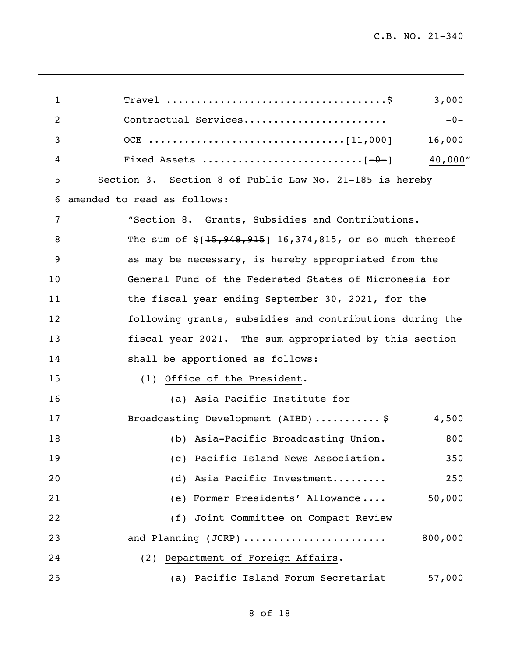| 1  | 3,000                                                        |
|----|--------------------------------------------------------------|
| 2  | Contractual Services<br>$-0-$                                |
| 3  | 16,000                                                       |
| 4  | 40,000"                                                      |
| 5  | Section 3. Section 8 of Public Law No. 21-185 is hereby      |
| 6  | amended to read as follows:                                  |
| 7  | "Section 8. Grants, Subsidies and Contributions.             |
| 8  | The sum of $\S[15, 948, 915]$ 16,374,815, or so much thereof |
| 9  | as may be necessary, is hereby appropriated from the         |
| 10 | General Fund of the Federated States of Micronesia for       |
| 11 | the fiscal year ending September 30, 2021, for the           |
| 12 | following grants, subsidies and contributions during the     |
| 13 | fiscal year 2021. The sum appropriated by this section       |
| 14 | shall be apportioned as follows:                             |
| 15 | (1) Office of the President.                                 |
| 16 | (a) Asia Pacific Institute for                               |
| 17 | Broadcasting Development (AIBD)  \$<br>4,500                 |
| 18 | (b) Asia-Pacific Broadcasting Union.<br>800                  |
| 19 | (c) Pacific Island News Association.<br>350                  |
| 20 | (d) Asia Pacific Investment<br>250                           |
| 21 | (e) Former Presidents' Allowance<br>50,000                   |
| 22 | (f) Joint Committee on Compact Review                        |
| 23 | 800,000<br>and Planning (JCRP)                               |
| 24 | (2) Department of Foreign Affairs.                           |
| 25 | (a) Pacific Island Forum Secretariat<br>57,000               |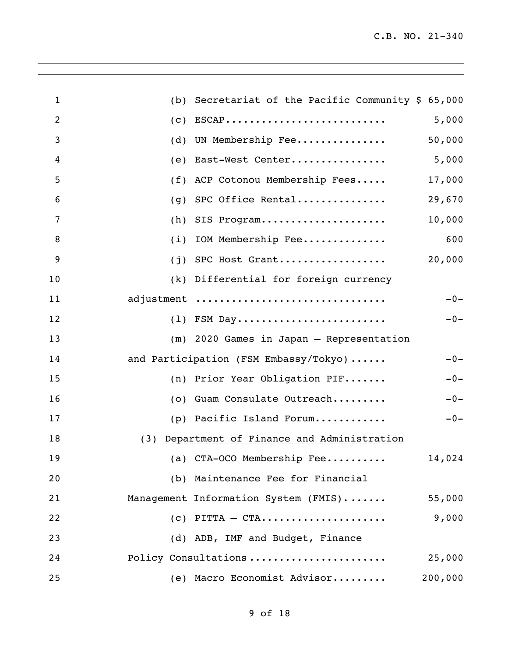| $\mathbf{1}$   | (b) Secretariat of the Pacific Community $$65,000$ |       |
|----------------|----------------------------------------------------|-------|
| $\overline{2}$ | $(c)$ ESCAP<br>5,000                               |       |
| 3              | UN Membership Fee<br>50,000<br>(d)                 |       |
| 4              | (e) East-West Center<br>5,000                      |       |
| 5              | (f) ACP Cotonou Membership Fees<br>17,000          |       |
| 6              | SPC Office Rental<br>29,670<br>(g)                 |       |
| 7              | 10,000<br>$(h)$ SIS Program                        |       |
| 8              | (i) IOM Membership Fee                             | 600   |
| 9              | 20,000<br>$(j)$ SPC Host Grant                     |       |
| 10             | (k) Differential for foreign currency              |       |
| 11             | adjustment                                         | $-0-$ |
| 12             | $(1)$ FSM Day                                      | $-0-$ |
| 13             | (m) 2020 Games in Japan - Representation           |       |
| 14             | and Participation (FSM Embassy/Tokyo)              | $-0-$ |
| 15             | (n) Prior Year Obligation PIF                      | $-0-$ |
| 16             | (o) Guam Consulate Outreach                        | $-0-$ |
| 17             | (p) Pacific Island Forum                           | $-0-$ |
| 18             | (3) Department of Finance and Administration       |       |
| 19             | (a) CTA-OCO Membership Fee<br>14,024               |       |
| 20             | (b) Maintenance Fee for Financial                  |       |
| 21             | Management Information System (FMIS)<br>55,000     |       |
| 22             | 9,000<br>$(c)$ PITTA - CTA                         |       |
| 23             | (d) ADB, IMF and Budget, Finance                   |       |
| 24             | Policy Consultations<br>25,000                     |       |
| 25             | (e) Macro Economist Advisor<br>200,000             |       |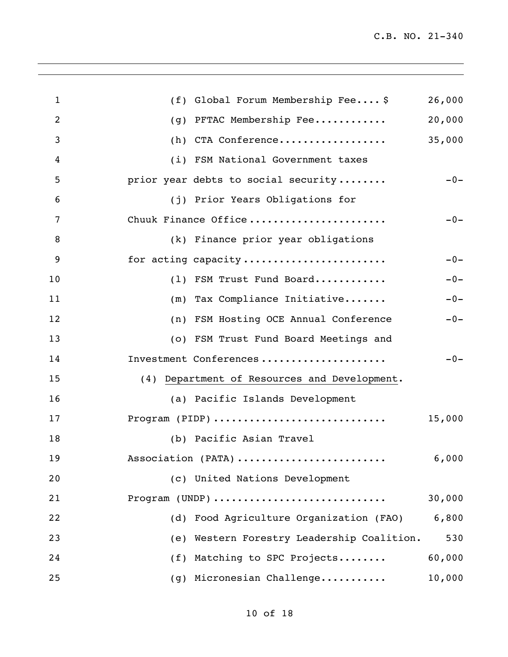| $\mathbf{1}$   | (f) Global Forum Membership Fee \$           | 26,000 |
|----------------|----------------------------------------------|--------|
| $\overline{2}$ | PFTAC Membership Fee<br>(g)                  | 20,000 |
| 3              | (h) CTA Conference                           | 35,000 |
| 4              | (i) FSM National Government taxes            |        |
| 5              | prior year debts to social security          | $-0-$  |
| 6              | (j) Prior Years Obligations for              |        |
| 7              | Chuuk Finance Office                         | $-0-$  |
| 8              | (k) Finance prior year obligations           |        |
| 9              | for acting capacity                          | $-0-$  |
| 10             | (1) FSM Trust Fund Board                     | $-0-$  |
| 11             | (m) Tax Compliance Initiative                | $-0-$  |
| 12             | (n) FSM Hosting OCE Annual Conference        | $-0-$  |
| 13             | (o) FSM Trust Fund Board Meetings and        |        |
| 14             | Investment Conferences                       | $-0-$  |
| 15             | (4) Department of Resources and Development. |        |
| 16             | (a) Pacific Islands Development              |        |
| 17             | Program (PIDP)                               | 15,000 |
| 18             | (b) Pacific Asian Travel                     |        |
| 19             | Association (PATA)                           | 6,000  |
| 20             | (c) United Nations Development               |        |
| 21             | Program (UNDP)                               | 30,000 |
| 22             | (d) Food Agriculture Organization (FAO)      | 6,800  |
| 23             | (e) Western Forestry Leadership Coalition.   | 530    |
| 24             | (f) Matching to SPC Projects                 | 60,000 |
| 25             | (g) Micronesian Challenge                    | 10,000 |
|                |                                              |        |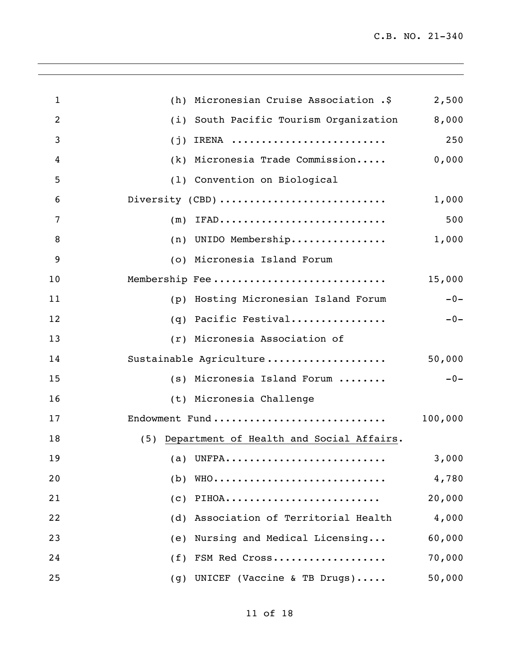| $\mathbf{1}$   | (h) Micronesian Cruise Association .\$       | 2,500   |
|----------------|----------------------------------------------|---------|
| $\overline{2}$ | (i) South Pacific Tourism Organization       | 8,000   |
| 3              | $(j)$ IRENA                                  | 250     |
| 4              | (k) Micronesia Trade Commission              | 0,000   |
| 5              | (1) Convention on Biological                 |         |
| 6              | Diversity (CBD)                              | 1,000   |
| 7              | $(m)$ IFAD                                   | 500     |
| 8              | (n) UNIDO Membership                         | 1,000   |
| 9              | (o) Micronesia Island Forum                  |         |
| 10             | Membership Fee                               | 15,000  |
| 11             | (p) Hosting Micronesian Island Forum         | $-0-$   |
| 12             | (q) Pacific Festival                         | $-0-$   |
| 13             | (r) Micronesia Association of                |         |
| 14             | Sustainable Agriculture                      | 50,000  |
| 15             | (s) Micronesia Island Forum                  | $-0-$   |
| 16             | (t) Micronesia Challenge                     |         |
| 17             | Endowment Fund                               | 100,000 |
| 18             | (5) Department of Health and Social Affairs. |         |
| 19             | (a) UNFPA                                    | 3,000   |
| 20             | WHO<br>(b)                                   | 4,780   |
| 21             | PIHOA<br>(C)                                 | 20,000  |
| 22             | Association of Territorial Health<br>(d)     | 4,000   |
| 23             | Nursing and Medical Licensing<br>(e)         | 60,000  |
| 24             | FSM Red Cross<br>(f)                         | 70,000  |
| 25             | UNICEF (Vaccine & TB Drugs)<br>(g)           | 50,000  |

<u> 1989 - Jan Salaman Salaman (j. 1989)</u>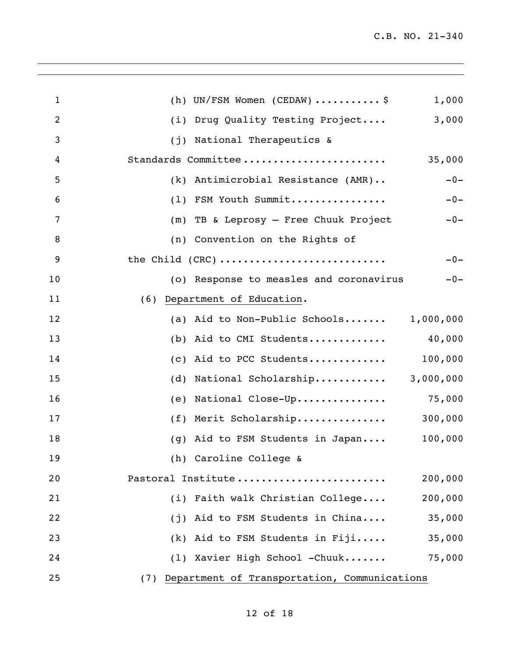| $\mathbf{1}$   | (h) UN/FSM Women (CEDAW)  \$<br>1,000            |
|----------------|--------------------------------------------------|
| $\overline{2}$ | (i) Drug Quality Testing Project<br>3,000        |
| 3              | (j) National Therapeutics &                      |
| 4              | Standards Committee<br>35,000                    |
| 5              | $-0-$<br>(k) Antimicrobial Resistance (AMR)      |
| 6              | (1) FSM Youth Summit<br>$-0-$                    |
| 7              | (m) TB & Leprosy - Free Chuuk Project<br>$-0-$   |
| 8              | (n) Convention on the Rights of                  |
| 9              | the Child (CRC)<br>$-0-$                         |
| 10             | (o) Response to measles and coronavirus<br>$-0-$ |
| 11             | (6) Department of Education.                     |
| 12             | 1,000,000<br>(a) Aid to Non-Public Schools       |
| 13             | (b) Aid to CMI Students<br>40,000                |
| 14             | (c) Aid to PCC Students<br>100,000               |
| 15             | (d) National Scholarship<br>3,000,000            |
| 16             | National Close-Up 75,000<br>(e)                  |
| 17             | (f) Merit Scholarship<br>300,000                 |
| 18             | 100,000<br>(g) Aid to FSM Students in Japan      |
| 19             | (h) Caroline College &                           |
| 20             | Pastoral Institute<br>200,000                    |
| 21             | (i) Faith walk Christian College<br>200,000      |
| 22             | (j) Aid to FSM Students in China<br>35,000       |
| 23             | $(k)$ Aid to FSM Students in Fiji<br>35,000      |
| 24             | (1) Xavier High School -Chuuk<br>75,000          |
| 25             | (7) Department of Transportation, Communications |

,我们也不会有什么。""我们的人,我们也不会有什么?""我们的人,我们也不会有什么?""我们的人,我们也不会有什么?""我们的人,我们也不会有什么?""我们的人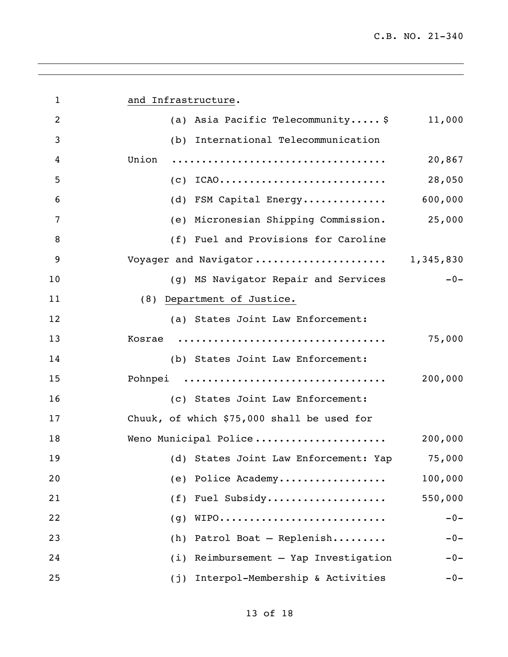| $\mathbf{1}$   | and Infrastructure.                               |
|----------------|---------------------------------------------------|
| $\overline{2}$ | (a) Asia Pacific Telecommunity \$<br>11,000       |
| 3              | (b) International Telecommunication               |
| 4              | Union<br>20,867                                   |
| 5              | $(c)$ ICAO<br>28,050                              |
| 6              | 600,000<br>(d) FSM Capital Energy                 |
| 7              | (e) Micronesian Shipping Commission.<br>25,000    |
| 8              | (f) Fuel and Provisions for Caroline              |
| 9              | Voyager and Navigator 1,345,830                   |
| 10             | $-0-$<br>(g) MS Navigator Repair and Services     |
| 11             | (8) Department of Justice.                        |
| 12             | (a) States Joint Law Enforcement:                 |
| 13             | 75,000                                            |
| 14             | (b) States Joint Law Enforcement:                 |
| 15             | Pohnpei<br>200,000                                |
| 16             | (c) States Joint Law Enforcement:                 |
| 17             | Chuuk, of which \$75,000 shall be used for        |
| 18             | Weno Municipal Police<br>200,000                  |
| 19             | (d) States Joint Law Enforcement: Yap<br>75,000   |
| 20             | 100,000<br>(e) Police Academy                     |
| 21             | Fuel Subsidy<br>550,000<br>(f)                    |
| 22             | WIPO<br>$-0-$<br>(g)                              |
| 23             | Patrol Boat - Replenish<br>(h)<br>$-0-$           |
| 24             | Reimbursement - Yap Investigation<br>(i)<br>$-0-$ |
| 25             | Interpol-Membership & Activities<br>(j)<br>$-0-$  |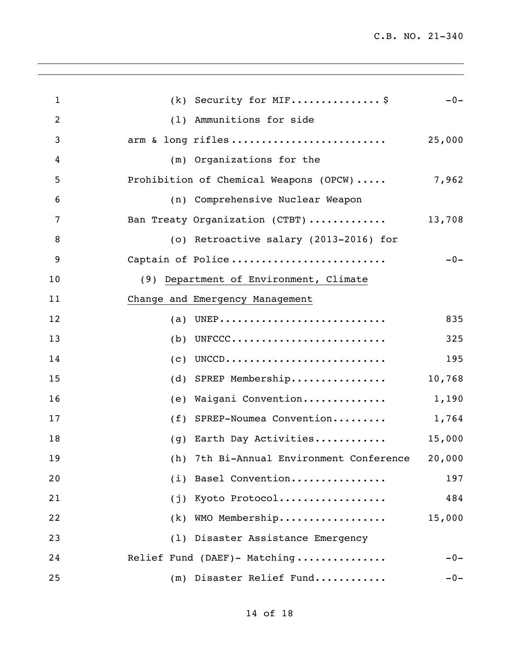| $\mathbf{1}$   | (k) Security for MIF \$                     | $-0-$  |
|----------------|---------------------------------------------|--------|
| $\overline{2}$ | (1) Ammunitions for side                    |        |
| 3              | arm & long rifles                           | 25,000 |
| 4              | (m) Organizations for the                   |        |
| 5              | Prohibition of Chemical Weapons (OPCW)      | 7,962  |
| 6              | (n) Comprehensive Nuclear Weapon            |        |
| 7              | Ban Treaty Organization (CTBT)              | 13,708 |
| 8              | (o) Retroactive salary (2013-2016) for      |        |
| 9              | Captain of Police                           | $-0-$  |
| 10             | (9) Department of Environment, Climate      |        |
| 11             | Change and Emergency Management             |        |
| 12             | $(a)$ UNEP                                  | 835    |
| 13             | $(b)$ UNFCCC                                | 325    |
| 14             | $(c)$ UNCCD                                 | 195    |
| 15             | (d) SPREP Membership                        | 10,768 |
| 16             | (e) Waigani Convention                      | 1,190  |
| 17             | (f) SPREP-Noumea Convention                 | 1,764  |
| 18             | (g) Earth Day Activities                    | 15,000 |
| 19             | 7th Bi-Annual Environment Conference<br>(h) | 20,000 |
| 20             | (i) Basel Convention                        | 197    |
| 21             | Kyoto Protocol<br>(j)                       | 484    |
| 22             | $(k)$ WMO Membership                        | 15,000 |
| 23             | (1) Disaster Assistance Emergency           |        |
| 24             | Relief Fund (DAEF)- Matching                | $-0-$  |
| 25             | (m) Disaster Relief Fund                    | $-0-$  |

<u> 1989 - Johann Stoff, amerikansk politiker (\* 1908)</u>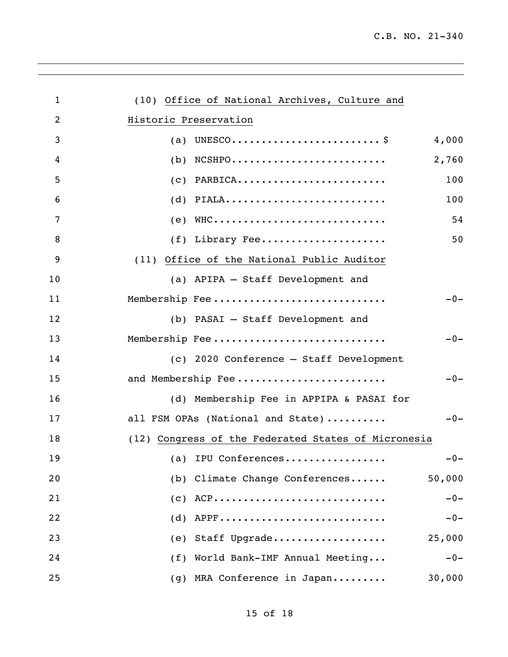| 1              | (10) Office of National Archives, Culture and       |
|----------------|-----------------------------------------------------|
| $\overline{2}$ | Historic Preservation                               |
| 3              | 4,000                                               |
| 4              | 2,760<br>$(b)$ NCSHPO                               |
| 5              | 100<br>$(c)$ PARBICA                                |
| 6              | $(d)$ PIALA<br>100                                  |
| 7              | $(e)$ WHC<br>54                                     |
| 8              | (f) Library Fee<br>50                               |
| 9              | (11) Office of the National Public Auditor          |
| 10             | (a) APIPA - Staff Development and                   |
| 11             | Membership Fee<br>$-0-$                             |
| 12             | (b) PASAI - Staff Development and                   |
| 13             | Membership Fee<br>$-0-$                             |
| 14             | (c) 2020 Conference - Staff Development             |
| 15             | and Membership Fee<br>$-0-$                         |
| 16             | (d) Membership Fee in APPIPA & PASAI for            |
| 17             | all FSM OPAs (National and State)<br>$-0-$          |
| 18             | (12) Congress of the Federated States of Micronesia |
| 19             | (a) IPU Conferences<br>$-0-$                        |
| 20             | (b) Climate Change Conferences<br>50,000            |
| 21             | $(c)$ ACP<br>$-0-$                                  |
| 22             | APPF<br>$-0-$<br>(d)                                |
| 23             | Staff Upgrade<br>25,000<br>(e)                      |
| 24             | (f) World Bank-IMF Annual Meeting<br>$-0-$          |
| 25             | (g) MRA Conference in Japan<br>30,000               |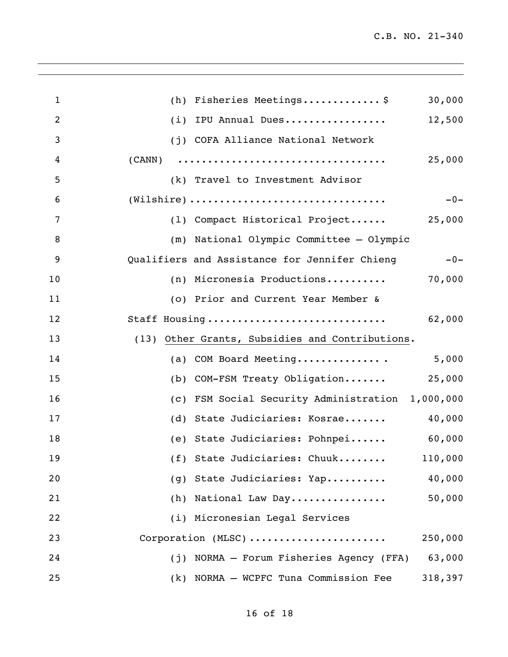| $\mathbf{1}$   | (h) Fisheries Meetings\$<br>30,000                                                                |
|----------------|---------------------------------------------------------------------------------------------------|
| $\overline{2}$ | IPU Annual Dues<br>12,500<br>(i)                                                                  |
| 3              | (j) COFA Alliance National Network                                                                |
| 4              | 25,000                                                                                            |
| 5              | (k) Travel to Investment Advisor                                                                  |
| 6              | $(\mathtt{Wilsonire}) \dots \dots \dots \dots \dots \dots \dots \dots \dots \dots \dots$<br>$-0-$ |
| 7              | (1) Compact Historical Project 25,000                                                             |
| 8              | (m) National Olympic Committee - Olympic                                                          |
| 9              | Qualifiers and Assistance for Jennifer Chieng<br>$-0-$                                            |
| 10             | (n) Micronesia Productions<br>70,000                                                              |
| 11             | (o) Prior and Current Year Member &                                                               |
| 12             | Staff Housing<br>62,000                                                                           |
| 13             | Other Grants, Subsidies and Contributions.<br>(13)                                                |
| 14             | (a) COM Board Meeting<br>5,000                                                                    |
| 15             | (b) COM-FSM Treaty Obligation<br>25,000                                                           |
| 16             | (c) FSM Social Security Administration 1,000,000                                                  |
| 17             | (d) State Judiciaries: Kosrae<br>40,000                                                           |
| 18             | (e) State Judiciaries: Pohnpei<br>60,000                                                          |
| 19             | (f) State Judiciaries: Chuuk<br>110,000                                                           |
| 20             | (g) State Judiciaries: Yap<br>40,000                                                              |
| 21             | (h) National Law Day<br>50,000                                                                    |
| 22             | (i) Micronesian Legal Services                                                                    |
| 23             | Corporation (MLSC)<br>250,000                                                                     |
| 24             | (j) NORMA - Forum Fisheries Agency (FFA)<br>63,000                                                |
| 25             | (k) NORMA - WCPFC Tuna Commission Fee<br>318,397                                                  |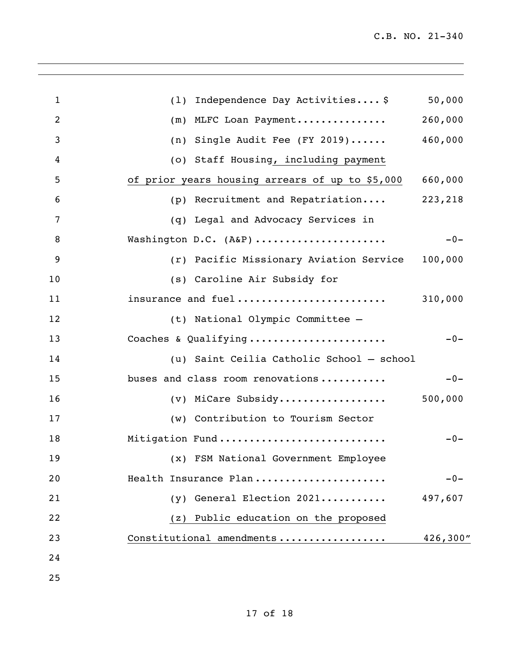| $\mathbf{1}$   | (1) Independence Day Activities \$              | 50,000   |
|----------------|-------------------------------------------------|----------|
| $\overline{2}$ | (m) MLFC Loan Payment                           | 260,000  |
| 3              | (n) Single Audit Fee (FY 2019)                  | 460,000  |
| 4              | (o) Staff Housing, including payment            |          |
| 5              | of prior years housing arrears of up to \$5,000 | 660,000  |
| 6              | (p) Recruitment and Repatriation                | 223,218  |
| 7              | (q) Legal and Advocacy Services in              |          |
| 8              | Washington D.C. (A&P)                           | $-0-$    |
| 9              | (r) Pacific Missionary Aviation Service         | 100,000  |
| 10             | (s) Caroline Air Subsidy for                    |          |
| 11             | insurance and fuel                              | 310,000  |
| 12             | (t) National Olympic Committee -                |          |
| 13             | Coaches & Qualifying                            | $-0-$    |
| 14             | (u) Saint Ceilia Catholic School - school       |          |
| 15             | buses and class room renovations                | $-0-$    |
| 16             | $(v)$ MiCare Subsidy 500,000                    |          |
| 17             | (w) Contribution to Tourism Sector              |          |
| 18             | Mitigation Fund                                 | $-0-$    |
| 19             | (x) FSM National Government Employee            |          |
| 20             | Health Insurance Plan                           | $-0-$    |
| 21             | $(y)$ General Election 2021                     | 497,607  |
| 22             | Public education on the proposed<br>(z)         |          |
| 23             | Constitutional amendments                       | 426,300" |
| 24             |                                                 |          |
| 25             |                                                 |          |